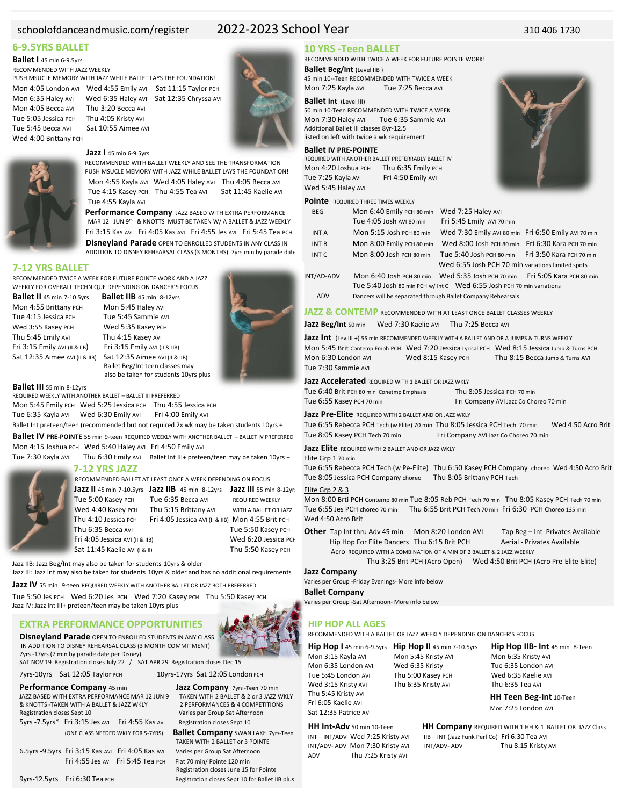# schoolofdanceandmusic.com/register 2022-2023 School Year 310 406 1730

### **6-9.5YRS BALLET**

# **Ballet I** 45 min 6-9.5yrs

RECOMMENDED WITH JAZZ WEEKLY PUSH MSUCLE MEMORY WITH JAZZ WHILE BALLET LAYS THE FOUNDATION!

Mon 4:05 London AVI Wed 4:55 Emily AVI Sat 11:15 Taylor PCH Mon 6:35 Haley AVI Wed 6:35 Haley AVI Sat 12:35 Chryssa AVI

Mon 4:05 Becca Avi Thu 3:20 Becca Avi<br>Tue 5:05 Jessica PCH Thu 4:05 Kristy Avi Tue 5:05 Jessica PCH Tue 5:45 Becca AVI Sat 10:55 Aimee AVI Wed 4:00 Brittany PCH



# **Jazz I** 45 min 6-9.5yrs

 RECOMMENDED WITH BALLET WEEKLY AND SEE THE TRANSFORMATION PUSH MSUCLE MEMORY WITH JAZZ WHILE BALLET LAYS THE FOUNDATION! Mon 4:55 Kayla AVI Wed 4:05 Haley AVI Thu 4:05 Becca AVI Tue 4:15 Kasey PCH Thu 4:55 Tea AVI Sat 11:45 Kaelie AVI Tue 4:55 Kayla AVI

 **Performance Company** JAZZ BASED WITH EXTRA PERFORMANCE MAR 12 JUN 9th & KNOTTS MUST BE TAKEN W/ A BALLET & JAZZ WEEKLY Fri 3:15 Kas AVI Fri 4:05 Kas AVI Fri 4:55 Jes AVI Fri 5:45 Tea PCH

 **Disneyland Parade** OPEN TO ENROLLED STUDENTS IN ANY CLASS IN ADDITION TO DISNEY REHEARSAL CLASS (3 MONTHS) 7yrs min by parade date

### **7-12 YRS BALLET**

RECOMMENDED TWICE A WEEK FOR FUTURE POINTE WORK AND A JAZZ WEEKLY FOR OVERALL TECHNIQUE DEPENDING ON DANCER'S FOCUS

**Ballet II** 45 min 7-10.5yrs **Ballet IIB** 45 min 8-12yrs Tue 4:15 Jessica PCH Tue 5:45 Sammie AVI Wed 3:55 Kasey PCH Wed 5:35 Kasey PCH Thu 5:45 Emily AVI Thu 4:15 Kasey AVI Fri 3:15 Emily AVI (II & IIB) Fri 3:15 Emily AVI (II & IIB)

Mon 5:45 Haley AVI Sat 12:35 Aimee AVI (II & IIB) Sat 12:35 Aimee AVI (II & IIB) Ballet Beg/Int teen classes may also be taken for students 10yrs plus

**Ballet III** 55 min 8-12yrs<br>REQUIRED WEEKLY WITH ANOTHER BALLET – BALLET III PREFERRED Mon 5:45 Emily PCH Wed 5:25 Jessica PCH Thu 4:55 Jessica PCH Tue 6:35 Kayla Avi Wed 6:30 Emily Avi Fri 4:00 Emily Avi

Ballet Int preteen/teen (recommended but not required 2x wk may be taken students 10yrs +

**Ballet IV PRE-POINTE** 55 min 9-teen REQUIRED WEEKLY WITH ANOTHER BALLET – BALLET IV PREFERRED Mon 4:15 Joshua PCH Wed 5:40 Haley AVI Fri 4:50 Emily AVI

Tue 7:30 Kayla AVI Thu 6:30 Emily AVI Ballet Int III+ preteen/teen may be taken 10yrs +

### **7-12 YRS JAZZ**

RECOMMENDED BALLET AT LEAST ONCE A WEEK DEPENDING ON FOCUS

Fri 4:05 Jessica AVI (II & IIB) Wed 6:20 Jessica PCH Sat 11:45 Kaelie AVI (I & II) Wed West Thu 5:50 Kasey PCH Sat 11:45 Kaelie AVI (I & II)

**Jazz II** 45 min 7-10.5yrs **Jazz IIB** 45 min 8-12yrs **Jazz III** 55 min 8-12yrs Tue 5:00 Kasey PCH Tue 6:35 Becca AVI REQUIRED WEEKLY Wed 4:40 Kasey PCH Thu 5:15 Brittany AVI WITH A BALLET OR JAZZ Thu 4:10 Jessica PCH Fri 4:05 Jessica AVI (II & IIB) Mon 4:55 Brit PCH Thu 6:35 Becca AVI Tue 5:50 Kasey PCH

Jazz IIB: Jazz Beg/Int may also be taken for students 10yrs & older Jazz III: Jazz Int may also be taken for students 10yrs & older and has no additional requirements

**Jazz IV** 55 min9-teen REQUIRED WEEKLY WITH ANOTHER BALLET OR JAZZ BOTH PREFERRED

Tue 5:50 Jes PCH Wed 6:20 Jes PCH Wed 7:20 Kasey PCH Thu 5:50 Kasey PCH Jazz IV: Jazz Int III+ preteen/teen may be taken 10yrs plus

# **EXTRA PERFORMANCE OPPORTUNITIES**

**Disneyland Parade** OPEN TO ENROLLED STUDENTS IN ANY CLASS IN ADDITION TO DISNEY REHEARSAL CLASS (3 MONTH COMMITMENT) 7yrs -17yrs (7 min by parade date per Disney)

SAT NOV 19 Registration closes July 22 / SAT APR 29 Registration closes Dec 15 7yrs-10yrs Sat 12:05 Taylor PCH 10yrs-17yrs Sat 12:05 London PCH

- JAZZ BASED WITH EXTRA PERFORMANCE MAR 12 JUN 9 TAKEN WITH 2 BALLET & 2 or 3 JAZZ WKLY & KNOTTS -TAKEN WITH A BALLET & JAZZ WKLY Registration closes Sept 10 Varies per Group Sat Afternoon 5yrs -7.5yrs\* Fri 3:15 Jes AVI Fri 4:55 Kas AVI Registration closes Sept 10
- 

6.5yrs -9.5yrs Fri 3:15 Kas AVI Fri 4:05 Kas AVI Varies per Group Sat Afternoon Fri 4:55 Jes AVI Fri 5:45 Tea PCH

**Performance Company** 45 min **Jazz Company**  $\frac{7}{10}$  **Jazz Company**  $\frac{7}{10}$  and  $\frac{7}{10}$  and  $\frac{7}{10}$  and  $\frac{7}{10}$  and  $\frac{7}{10}$  and  $\frac{7}{10}$  and  $\frac{7}{10}$  and  $\frac{7}{10}$  and  $\frac{7}{10}$  and  $\frac{7}{10}$  and  $\$ 

 (ONE CLASS NEEDED WKLY FOR 5-7YRS) **Ballet Company** SWAN LAKE 7yrs-Teen TAKEN WITH 2 BALLET or 3 POINTE Registration closes June 15 for Pointe

9yrs-12.5yrs Fri 6:30 Tea PCH Registration closes Sept 10 for Ballet IIB plus

# **10 YRS -Teen BALLET**

RECOMMENDED WITH TWICE A WEEK FOR FUTURE POINTE WORK! **Ballet Beg/Int** (Level IIB )

45 min 10--Teen RECOMMENDED WITH TWICE A WEEK Mon 7:25 Kayla AVI Tue 7:25 Becca AVI

### **Ballet Int** (Level III)

50 min 10-Teen RECOMMENDED WITH TWICE A WEEK Mon 7:30 Haley AVI Tue 6:35 Sammie AVI Additional Ballet III classes 8yr-12.5 listed on left with twice a wk requirement

### **Ballet IV PRE-POINTE**

REQUIRED WITH ANOTHER BALLET PREFERRABLY BALLET IV Mon 4:20 Joshua PCH Thu 6:35 Emily PCH Tue 7:25 Kayla AVI Fri 4:50 Emily AVI Wed 5:45 Haley AVI

### **Pointe** REQUIRED THREE TIMES WEEKLY

| <b>BEG</b>   | Mon 6:40 Emily PCH 80 min                                   | Wed 7:25 Haley AVI                                                         |  |
|--------------|-------------------------------------------------------------|----------------------------------------------------------------------------|--|
|              | Tue 4:05 Josh AVI 80 min                                    | Fri 5:45 Emily AVI 70 min                                                  |  |
| <b>INTA</b>  | Mon 5:15 Josh PCH 80 min                                    | Wed 7:30 Emily AVI 80 min Fri 6:50 Emily AVI 70 min                        |  |
| <b>INT B</b> | Mon 8:00 Emily PCH 80 min                                   | Wed 8:00 Josh PCH 80 min Fri 6:30 Kara PCH 70 min                          |  |
| INT C        | Mon 8:00 Josh PCH 80 min                                    | Tue 5:40 Josh PCH 80 min Fri 3:50 Кага PCH 70 min                          |  |
|              |                                                             | Wed 6:55 Josh PCH 70 min variations limited spots                          |  |
| INT/AD-ADV   |                                                             | Mon 6:40 Josh PCH 80 min Wed 5:35 Josh PCH 70 min Fri 5:05 Kara PCH 80 min |  |
|              |                                                             | Tue 5:40 Josh 80 min PCH w/ Int C Wed 6:55 Josh PCH 70 min variations      |  |
| <b>ADV</b>   | Dancers will be separated through Ballet Company Rehearsals |                                                                            |  |

**JAZZ & CONTEMP** RECOMMENDED WITH AT LEAST ONCE BALLET CLASSES WEEKLY

Jazz Beg/Int 50 min Wed 7:30 Kaelie AVI Thu 7:25 Becca AVI

**Jazz Int** (Lev III +) 55 min RECOMMENDED WEEKLY WITH A BALLET AND OR A JUMPS & TURNS WEEKLY Mon 5:45 Brit Contemp Emph PCH Wed 7:20 Jessica Lyrical PCH Wed 8:15 Jessica Jump & Turns PCH Mon 6:30 London AVI Wed 8:15 Kasey PCH Thu 8:15 Becca Jump & Turns AVI Tue 7:30 Sammie AVI

### **Jazz Accelerated** REQUIRED WITH 1 BALLET OR JAZZ WKLY

Tue 6:40 Brit PCH 80 min Conetmp Emphasis Thu 8:05 Jessica PCH 70 min Tue 6:55 Kasey PCH 70 min Fri Company AVI Jazz Co Choreo 70 min

**Jazz Pre-Elite** REQUIRED WITH 2 BALLET AND OR JAZZ WKLY

Tue 6:55 Rebecca PCH Tech (w Elite) 70 min Thu 8:05 Jessica PCH Tech 70 min Wed 4:50 Acro Brit Tue 8:05 Kasey PCH Tech 70 min Fri Company AVI Jazz Co Choreo 70 min

**Jazz Elite** REQUIRED WITH 2 BALLET AND OR JAZZ WKLY

### Elite Grp 1 70 min

Tue 6:55 Rebecca PCH Tech (w Pe-Elite) Thu 6:50 Kasey PCH Company choreo Wed 4:50 Acro Brit Tue 8:05 Jessica PCH Company choreo Thu 8:05 Brittany PCH Tech

### Elite Grp 2 & 3

Mon 8:00 Brti PCH Contemp 80 min Tue 8:05 Reb PCH Tech 70 min Thu 8:05 Kasey PCH Tech 70 min Tue 6:55 Jes PCH choreo 70 min Thu 6:55 Brit PCH Tech 70 min Fri 6:30 PCH Choreo 135 min Wed 4:50 Acro Brit

**Other** Tap Int thru Adv 45 min Mon 8:20 London AVI Tap Beg – Int Privates Available Hip Hop For Elite Dancers Thu 6:15 Brit PCH Aerial - Privates Available AcroREQUIRED WITH A COMBINATION OF A MIN OF 2 BALLET & 2 JAZZ WEEKLY

Thu 3:25 Brit PCH (Acro Open) Wed 4:50 Brit PCH (Acro Pre-Elite-Elite)

### **Jazz Company**

Varies per Group -Friday Evenings- More info below

### **Ballet Company**

Varies per Group -Sat Afternoon- More info below

### **HIP HOP ALL AGES**

RECOMMENDED WITH A BALLET OR JAZZ WEEKLY DEPENDING ON DANCER'S FOCUS

Mon 5:45 Kristy AVI

Mon 6:35 London AVI Wed 6:35 Kristy Tue 6:35 London AVI Tue 5:45 London AVI Thu 5:00 Kasey PCH Wed 6:35 Kaelie AVI Wed 3:15 Kristy AVI Thu 6:35 Kristy AVI Thu 6:35 Tea AVI Thu 5:45 Kristy AVI Fri 6:05 Kaelie AVI Sat 12:35 Patrice AVI

ADV Thu 7:25 Kristy AVI

**Hip Hop I** 45 min 6-9.5yrs **Hip Hop II** 45 min 7-10.5yrs **Hip Hop IIB- Int** 45 min 8-Teen<br>Mon 3:15 Kayla Avi Mon 5:45 Kristy Avi Mon 6:35 Kristy Avi

**HH Teen Beg-Int** 10-Teen Mon 7:25 London AVI

**HH Int-Adv** 50 min 10-Teen **HH Company** REQUIRED WITH 1 HH & 1 BALLET OR JAZZ Class INT – INT/ADV Wed 7:25 Kristy AVI IIB – INT (Jazz Funk Perf Co) Fri 6:30 Tea AVI INT/ADV- ADV Mon 7:30 Kristy AVI INT/ADV- ADV Thu 8:15 Kristy AVI